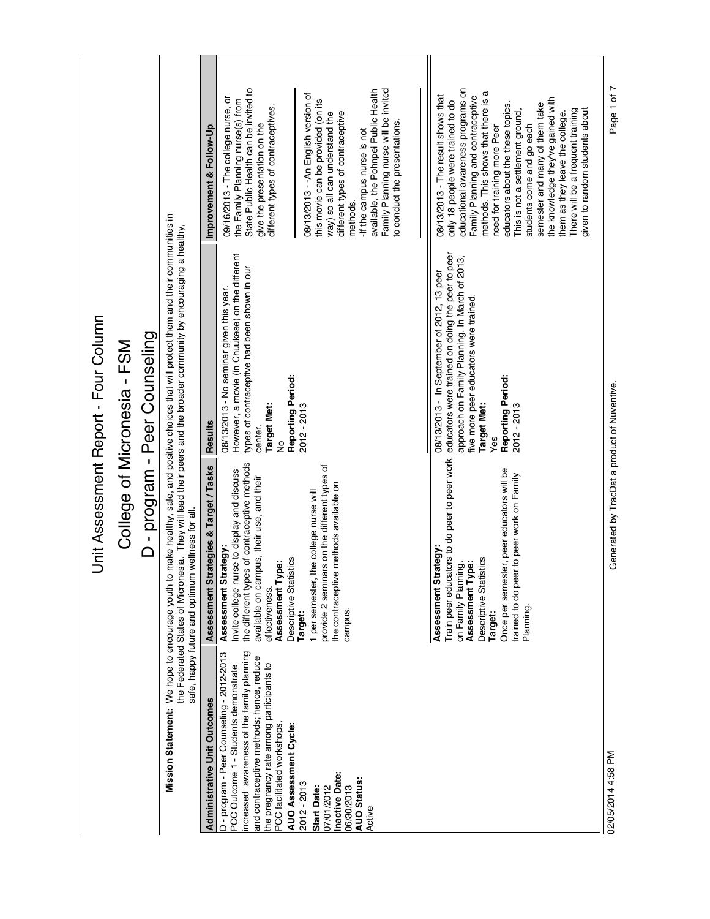| :<br>ק      |
|-------------|
| ì<br>ς<br>ς |
| さくろくろく      |
|             |
|             |

## College of Micronesia - FSM College of Micronesia - FSM

## D - program - Peer Counseling D - program - Peer Counseling

Mission Statement: We hope to encourage youth to make healthy, safe, and positive choices that will protect them and their communities in<br>the Federated States of Micronesia. They will lead their peers and the broader commu **Mission Statement:** We hope to encourage youth to make healthy, safe, and positive choices that will protect them and their communities in the Federated States of Micronesia. They will lead their peers and the broader community by encouraging a healthy,

safe, happy future and optimum wellness for all.

|                                                 | Improvement & Follow-Up                | State Public Health can be invited to<br>09/16/2013 - The college nurse, or<br>the Family Planning nurse(s) from<br>different types of contraceptives<br>give the presentation on the                                                                                          | Family Planning nurse will be invited<br>available, the Pohnpei Public Health<br>08/13/2013 - - An English version of<br>this movie can be provided (on its<br>different types of contraceptive<br>way) so all can understand the<br>to conduct the presentations<br>-If the campus nurse is not<br>methods. | educational awareness programs on<br>nethods. This shows that there is a<br>Family Planning and contraceptive<br>08/13/2013 - The result shows that<br>the knowledge they've gained with<br>only 18 people were trained to do<br>semester and many of them take<br>educators about the these topics.<br>given to random students about<br>There will be a frequent training<br>This is not a settlement ground,<br>them as they leave the college.<br>students come and go each<br>need for training more Peer | Page 1 of 7                                  |
|-------------------------------------------------|----------------------------------------|--------------------------------------------------------------------------------------------------------------------------------------------------------------------------------------------------------------------------------------------------------------------------------|--------------------------------------------------------------------------------------------------------------------------------------------------------------------------------------------------------------------------------------------------------------------------------------------------------------|----------------------------------------------------------------------------------------------------------------------------------------------------------------------------------------------------------------------------------------------------------------------------------------------------------------------------------------------------------------------------------------------------------------------------------------------------------------------------------------------------------------|----------------------------------------------|
|                                                 | <b>Results</b>                         | However, a movie (in Chuukese) on the different<br>types of contraceptive had been shown in our<br>08/13/2013 - No seminar given this year.<br>Reporting Period:<br><b>Target Met:</b><br>center.<br>g                                                                         | 2012 - 2013                                                                                                                                                                                                                                                                                                  | educators were trained on doing the peer to peer<br>approach on Family Planning. In March of 2013,<br>08/13/2013 - In September of 2012, 13 peer<br>five more peer educators were trained.<br>Reporting Period:<br><b>Target Met:</b><br>2012 - 2013<br>Yes                                                                                                                                                                                                                                                    |                                              |
| safe, happy future and optimum wellness for all | Assessment Strategies & Target / Tasks | the different types of contraceptive methods<br>nvite college nurse to display and discuss<br>available on campus, their use, and their<br>Assessment Strategy:<br>tistics<br>Assessment Type:<br>Descriptive Stat<br>effectiveness.                                           | ars on the different types of<br>re methods available on<br>the college nurse will<br>1 per semester,<br>provide 2 semin<br>the contraceptiv<br>campus.<br>Target:                                                                                                                                           | Train peer educators to do peer to peer work<br>Once per semester, peer educators will be<br>trained to do peer to peer work on Family<br>Assessment Strategy:<br>Descriptive Statistics<br>Assessment Type:<br>on Family Planning.<br>Planning<br><b>Target:</b>                                                                                                                                                                                                                                              | Generated by TracDat a product of Nuventive. |
|                                                 | <b>Administrative Unit Outcomes</b>    | increased awareness of the family planning<br>D - program - Peer Counseling - 2012-2013<br>and contraceptive methods; hence, reduce<br>the pregnancy rate among participants to<br>PCC Outcome 1 - Students demonstrate<br>PCC facilitated workshops.<br>AUO Assessment Cycle: | Inactive Date:<br><b>AUO Status:</b><br>2012 - 2013<br>06/30/2013<br>07/01/2012<br>Start Date:<br>Active                                                                                                                                                                                                     |                                                                                                                                                                                                                                                                                                                                                                                                                                                                                                                | 02/05/2014 4:58 PM                           |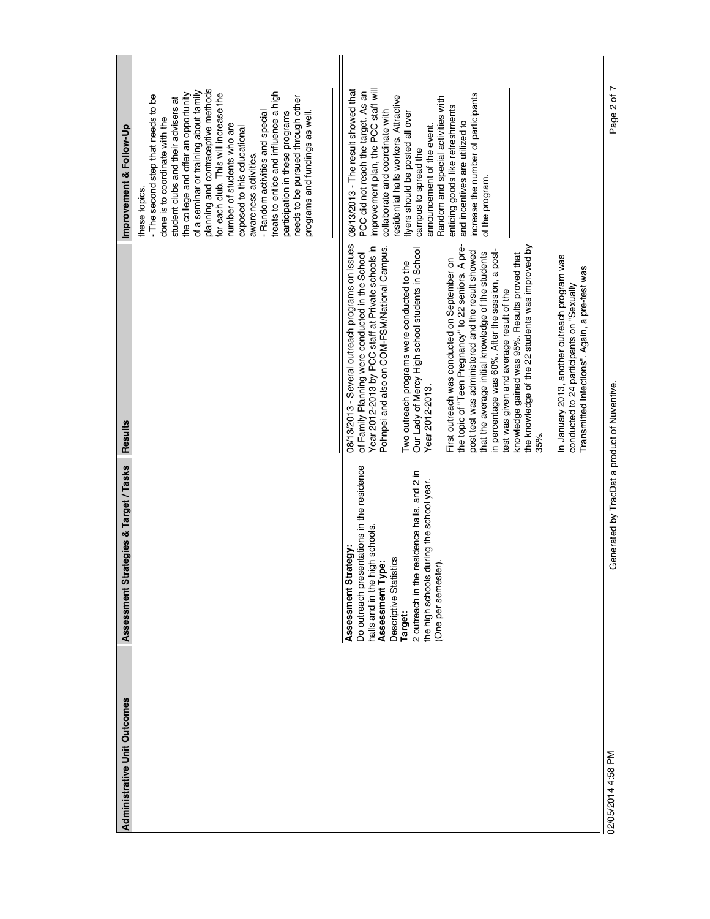| L<br>planning and contraceptive methods<br>improvement plan, the PCC staff will<br>08/13/2013 - The result showed that<br>of a seminar or training about family<br>treats to entice and influence a high<br>PCC did not reach the target. As an<br>for each club. This will increase the<br>the college and offer an opportunity<br>increase the number of participants<br>Page 2 of<br>- The second step that needs to be<br>esidential halls workers. Attractive<br>Random and special activities with<br>needs to be pursued through other<br>student clubs and their advisers at<br>enticing goods like refreshments<br>collaborate and coordinate with<br>flyers should be posted all over<br>- Random activities and special<br>participation in these programs<br>programs and fundings as well.<br>done is to coordinate with the<br>and incentives are utilized to<br>number of students who are<br>announcement of the event.<br>exposed to this educational<br>campus to spread the<br>awareness activities.<br>of the program.<br>these topics.<br>08/13/2013 - Several outreach programs on issues<br>the topic of "Teen Pregnancy" to 22 seniors. A pre-<br>the knowledge of the 22 students was improved by<br>Year 2012-2013 by PCC staff at Private schools in<br>Pohnpei and also on COM-FSM/National Campus<br>Our Lady of Mercy High school students in School<br>post test was administered and the result showed<br>that the average initial knowledge of the students<br>in percentage was 60%. After the session, a post<br>of Family Planning were conducted in the School<br>knowledge gained was 95%. Results proved that<br>In January 2013, another outreach program was<br>First outreach was conducted on September on<br>Two outreach programs were conducted to the<br>Transmitted Infections". Again, a pre-test was<br>conducted to 24 participants on "Sexually<br>test was given and average result of the<br>Generated by TracDat a product of Nuventive.<br>Year 2012-2013.<br>35%.<br>Do outreach presentations in the residence<br>2 outreach in the residence halls, and 2 in<br>the high schools during the school year.<br>halls and in the high schools.<br>trategy:<br>Descriptive Statistics<br>Assessment Type:<br>(One per semester).<br>Assessment S<br>Target: | <b>Administrative Unit Outcomes</b> | trategies & Target / Tasks<br>Assessment S | Results | Improvement & Follow-Up |
|-------------------------------------------------------------------------------------------------------------------------------------------------------------------------------------------------------------------------------------------------------------------------------------------------------------------------------------------------------------------------------------------------------------------------------------------------------------------------------------------------------------------------------------------------------------------------------------------------------------------------------------------------------------------------------------------------------------------------------------------------------------------------------------------------------------------------------------------------------------------------------------------------------------------------------------------------------------------------------------------------------------------------------------------------------------------------------------------------------------------------------------------------------------------------------------------------------------------------------------------------------------------------------------------------------------------------------------------------------------------------------------------------------------------------------------------------------------------------------------------------------------------------------------------------------------------------------------------------------------------------------------------------------------------------------------------------------------------------------------------------------------------------------------------------------------------------------------------------------------------------------------------------------------------------------------------------------------------------------------------------------------------------------------------------------------------------------------------------------------------------------------------------------------------------------------------------------------------------------------------------------------------------------------------------------------------|-------------------------------------|--------------------------------------------|---------|-------------------------|
|                                                                                                                                                                                                                                                                                                                                                                                                                                                                                                                                                                                                                                                                                                                                                                                                                                                                                                                                                                                                                                                                                                                                                                                                                                                                                                                                                                                                                                                                                                                                                                                                                                                                                                                                                                                                                                                                                                                                                                                                                                                                                                                                                                                                                                                                                                                   |                                     |                                            |         |                         |
|                                                                                                                                                                                                                                                                                                                                                                                                                                                                                                                                                                                                                                                                                                                                                                                                                                                                                                                                                                                                                                                                                                                                                                                                                                                                                                                                                                                                                                                                                                                                                                                                                                                                                                                                                                                                                                                                                                                                                                                                                                                                                                                                                                                                                                                                                                                   |                                     |                                            |         |                         |
|                                                                                                                                                                                                                                                                                                                                                                                                                                                                                                                                                                                                                                                                                                                                                                                                                                                                                                                                                                                                                                                                                                                                                                                                                                                                                                                                                                                                                                                                                                                                                                                                                                                                                                                                                                                                                                                                                                                                                                                                                                                                                                                                                                                                                                                                                                                   | 02/05/2014 4:58 PM                  |                                            |         |                         |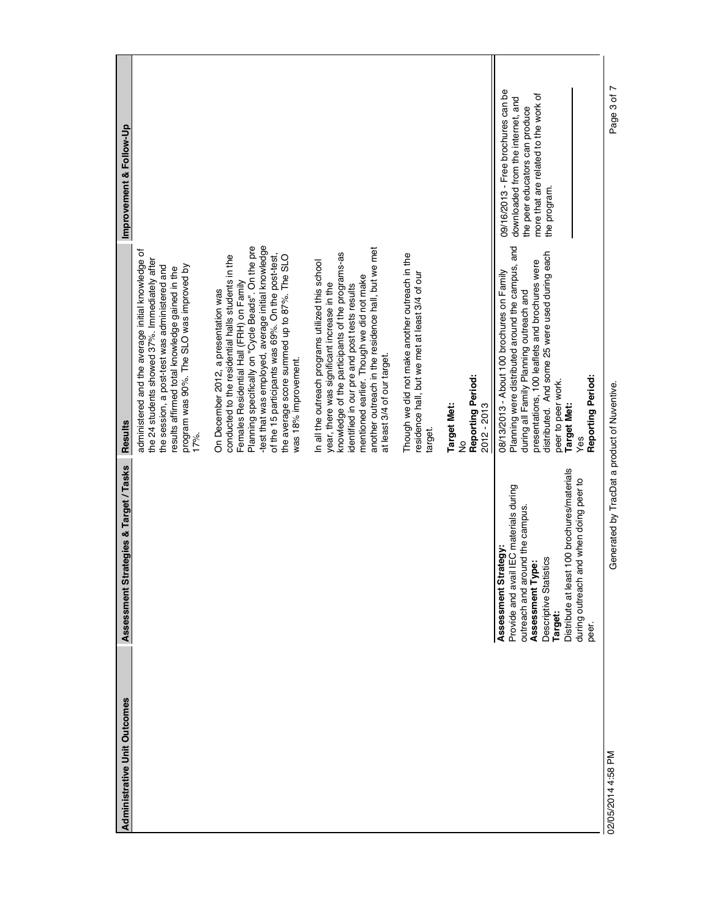| <b>Administrative Unit Outcomes</b> | trategies & Target / Tasks<br>Assessment St                                                                                                                                                                                                                 | <b>Results</b>                                                                                                                                                                                                                                                                                                                                                                 | Improvement & Follow-Up                                                                                                                                           |
|-------------------------------------|-------------------------------------------------------------------------------------------------------------------------------------------------------------------------------------------------------------------------------------------------------------|--------------------------------------------------------------------------------------------------------------------------------------------------------------------------------------------------------------------------------------------------------------------------------------------------------------------------------------------------------------------------------|-------------------------------------------------------------------------------------------------------------------------------------------------------------------|
|                                     |                                                                                                                                                                                                                                                             | administered and the average initial knowledge of<br>the 24 students showed 37%. Immediately after<br>program was 90%. The SLO was improved by<br>the session, a post-test was administered and<br>results affirmed total knowledge gained in the<br>17%.                                                                                                                      |                                                                                                                                                                   |
|                                     |                                                                                                                                                                                                                                                             | -test that was employed, average initial knowledge<br>Planning specifically on "Cycle Beads". On the pre<br>of the 15 participants was 69%. On the post-test,<br>the average score summed up to 87%. The SLO<br>conducted to the residential halls students in the<br>Females Residential Hall (FRH) on Family<br>On December 2012, a presentation was<br>was 18% improvement. |                                                                                                                                                                   |
|                                     |                                                                                                                                                                                                                                                             | another outreach in the residence hall, but we met<br>knowledge of the participants of the programs-as<br>In all the outreach programs utilized this school<br>mentioned earlier. Though we did not make<br>year, there was significant increase in the<br>identified in our pre and post tests results<br>at least 3/4 of our target                                          |                                                                                                                                                                   |
|                                     |                                                                                                                                                                                                                                                             | Though we did not make another outreach in the<br>residence hall, but we met at least 3/4 of our<br>target                                                                                                                                                                                                                                                                     |                                                                                                                                                                   |
|                                     |                                                                                                                                                                                                                                                             | Reporting Period:<br><b>Target Met:</b><br>2012 - 2013<br>ş                                                                                                                                                                                                                                                                                                                    |                                                                                                                                                                   |
|                                     | Distribute at least 100 brochures/materials<br>and when doing peer to<br>Provide and avail IEC materials during<br>outreach and around the campus.<br>Assessment Strategy:<br>istics<br>Assessment Type:<br>Descriptive Stati<br>during outreach<br>Target: | and<br>distributed. And some 25 were used during each<br>presentations, 100 leaflets and brochures were<br>Planning were distributed around the campus,<br>08/13/2013 - About 100 brochures on Family<br>during all Family Planning outreach and<br>peer to peer work.<br>Target Met:<br>Yes                                                                                   | 09/16/2013 - Free brochures can be<br>more that are related to the work of<br>downloaded from the internet, and<br>the peer educators can produce<br>the program. |
|                                     | peer.                                                                                                                                                                                                                                                       | Reporting Period:                                                                                                                                                                                                                                                                                                                                                              |                                                                                                                                                                   |
| 02/05/2014 4:58 PM                  | Generated by TracDat a product of Nuventive.                                                                                                                                                                                                                |                                                                                                                                                                                                                                                                                                                                                                                | Page 3 of 7                                                                                                                                                       |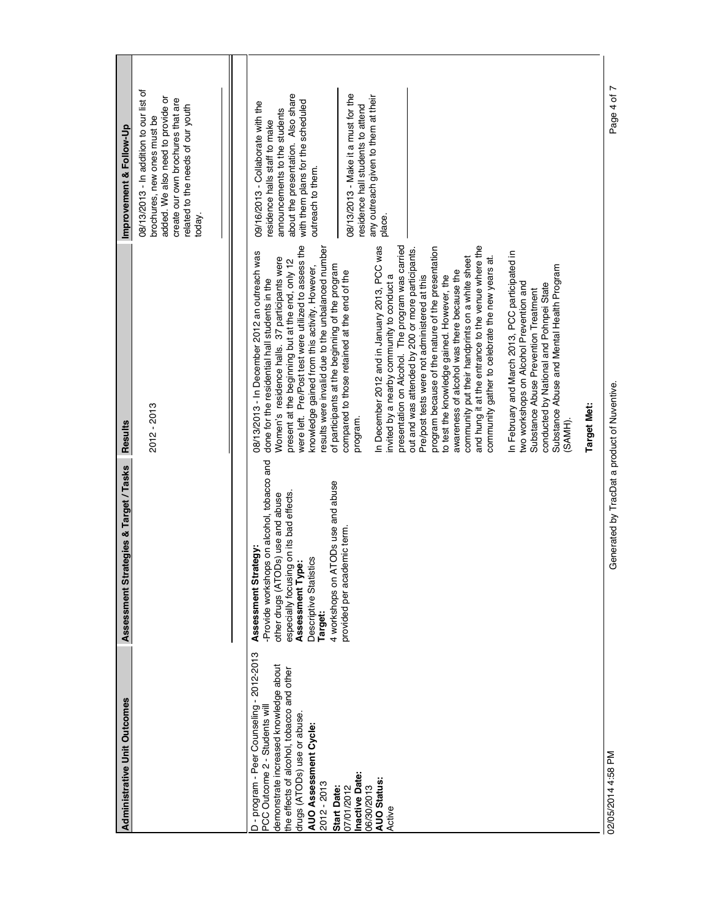| <b>Administrative Unit Outcomes</b>                                                                                                                                                                                                                                                                                                        | Assessment Strategies & Target / Tasks                                                                                                                                                                                                                                                 | <b>Results</b>                                                                                                                                                                                                                                                                                                                                                                                                                                                                                                                                                                                                                                                                                                                                                                                                                                                                                                                                                                                                                                                                                                                                                                                                                                                                                                      | Improvement & Follow-Up                                                                                                                                                                                                                                                                                                          |
|--------------------------------------------------------------------------------------------------------------------------------------------------------------------------------------------------------------------------------------------------------------------------------------------------------------------------------------------|----------------------------------------------------------------------------------------------------------------------------------------------------------------------------------------------------------------------------------------------------------------------------------------|---------------------------------------------------------------------------------------------------------------------------------------------------------------------------------------------------------------------------------------------------------------------------------------------------------------------------------------------------------------------------------------------------------------------------------------------------------------------------------------------------------------------------------------------------------------------------------------------------------------------------------------------------------------------------------------------------------------------------------------------------------------------------------------------------------------------------------------------------------------------------------------------------------------------------------------------------------------------------------------------------------------------------------------------------------------------------------------------------------------------------------------------------------------------------------------------------------------------------------------------------------------------------------------------------------------------|----------------------------------------------------------------------------------------------------------------------------------------------------------------------------------------------------------------------------------------------------------------------------------------------------------------------------------|
|                                                                                                                                                                                                                                                                                                                                            |                                                                                                                                                                                                                                                                                        | 2012 - 2013                                                                                                                                                                                                                                                                                                                                                                                                                                                                                                                                                                                                                                                                                                                                                                                                                                                                                                                                                                                                                                                                                                                                                                                                                                                                                                         | 08/13/2013 - In addition to our list of<br>added. We also need to provide or<br>create our own brochures that are<br>related to the needs of our youth<br>brochures, new ones must be<br>today.                                                                                                                                  |
| D - program - Peer Counseling - 2012-2013<br>demonstrate increased knowledge about<br>the effects of alcohol, tobacco and other<br>PCC Outcome 2 - Students wil<br>drugs (ATODs) use or abuse.<br>AUO Assessment Cycle:<br>Inactive Date:<br><b>AUO Status:</b><br>2012 - 2013<br>06/30/2013<br>07/01/2012<br><b>Start Date:</b><br>Active | -Provide workshops on alcohol, tobacco and<br>ATODs use and abuse<br>especially focusing on its bad effects<br>other drugs (ATODs) use and abuse<br>provided per academic term.<br>trategy:<br>Descriptive Statistics<br>Assessment Type:<br>4 workshops on<br>Assessment S<br>Target: | were left. Pre/Post test were utilized to assess the<br>presentation on Alcohol. The program was carried<br>and hung it at the entrance to the venue where the<br>In December 2012 and in January 2013, PCC was<br>results were invalid due to the unbalanced number<br>program because of the nature of the presentation<br>out and was attended by 200 or more participants.<br>08/13/2013 - In December 2012 an outreach was<br>In February and March 2013, PCC participated in<br>community put their handprints on a white sheet<br>Women's residence halls. 37 participants were<br>community gather to celebrate the new years at.<br>present at the beginning but at the end, only 12<br>of participants at the beginning of the program<br>Substance Abuse and Mental Health Program<br>knowledge gained from this activity. However,<br>awareness of alcohol was there because the<br>compared to those retained at the end of the<br>invited by a nearby community to conduct a<br>Pre/post tests were not administered at this<br>to test the knowledge gained. However, the<br>done for the residential hall students in the<br>two workshops on Alcohol Prevention and<br>conducted by National and Pohnpei State<br>Substance Abuse Prevention Treatment<br><b>Target Met:</b><br>program.<br>(SAMH) | about the presentation. Also share<br>08/13/2013 - Make it a must for the<br>any outreach given to them at their<br>with them plans for the scheduled<br>09/16/2013 - Collaborate with the<br>residence hall students to attend<br>announcements to the students<br>residence halls staff to make<br>outreach to them.<br>place. |
| 02/05/2014 4:58 PM                                                                                                                                                                                                                                                                                                                         | Generated by TracDat a product of Nuventive.                                                                                                                                                                                                                                           |                                                                                                                                                                                                                                                                                                                                                                                                                                                                                                                                                                                                                                                                                                                                                                                                                                                                                                                                                                                                                                                                                                                                                                                                                                                                                                                     | Page 4 of 7                                                                                                                                                                                                                                                                                                                      |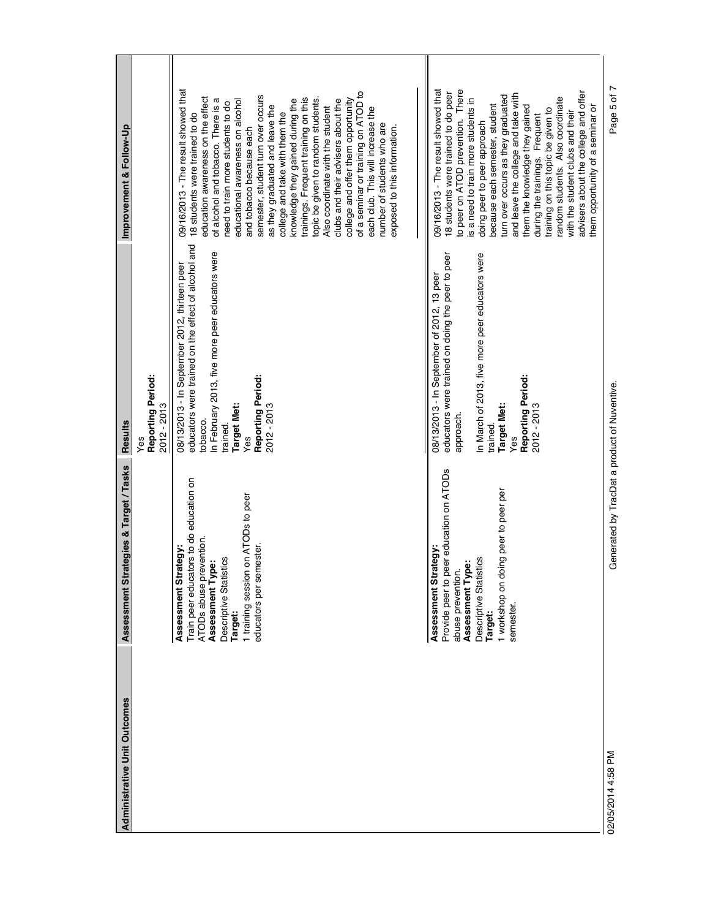| <b>Administrative Unit Outcomes</b> | trategies & Target / Tasks<br>Assessment St                                                                                                                                                                           | <b>Results</b>                                                                                                                                                                                                                                   | Improvement & Follow-Up                                                                                                                                                                                                                                                                                                                                                                                                                                                                                                                                                                                                                                                                                                                      |
|-------------------------------------|-----------------------------------------------------------------------------------------------------------------------------------------------------------------------------------------------------------------------|--------------------------------------------------------------------------------------------------------------------------------------------------------------------------------------------------------------------------------------------------|----------------------------------------------------------------------------------------------------------------------------------------------------------------------------------------------------------------------------------------------------------------------------------------------------------------------------------------------------------------------------------------------------------------------------------------------------------------------------------------------------------------------------------------------------------------------------------------------------------------------------------------------------------------------------------------------------------------------------------------------|
|                                     |                                                                                                                                                                                                                       | Reporting Period:<br>2012 - 2013<br>Yes                                                                                                                                                                                                          |                                                                                                                                                                                                                                                                                                                                                                                                                                                                                                                                                                                                                                                                                                                                              |
|                                     | Train peer educators to do education on<br>1 training session on ATODs to peer<br>ATODs abuse prevention.<br>educators per semester.<br>Assessment Strategy:<br>Descriptive Statistics<br>Assessment Type:<br>Target: | educators were trained on the effect of alcohol and<br>In February 2013, five more peer educators were<br>08/13/2013 - In September 2012, thirteen peer<br>Reporting Period:<br><b>Target Met:</b><br>2012 - 2013<br>tobacco.<br>trained.<br>Yes | 09/16/2013 - The result showed that<br>of a seminar or training on ATOD to<br>semester, student turn over occurs<br>education awareness on the effect<br>trainings. Frequent training on this<br>topic be given to random students.<br>of alcohol and tobacco. There is a<br>educational awareness on alcohol<br>college and offer them opportunity<br>knowledge they gained during the<br>clubs and their advisers about the<br>need to train more students to do<br>as they graduated and leave the<br>Also coordinate with the student<br>each club. This will increase the<br>college and take with them the<br>18 students were trained to do<br>number of students who are<br>exposed to this information.<br>and tobacco because each |
|                                     | peer education on ATODs<br>1 workshop on doing peer to peer per<br>trategy:<br>istics<br>Assessment Type:<br>abuse prevention.<br>Descriptive Stati<br>Assessment St<br>Provide peer to<br>semester.<br>Target:       | In March of 2013, five more peer educators were<br>educators were trained on doing the peer to peer<br>08/13/2013 - In September of 2012, 13 peer<br>Reporting Period:<br><b>Target Met:</b><br>2012 - 2013<br>approach.<br>trained.<br>Yes      | to peer on ATOD prevention. There<br>09/16/2013 - The result showed that<br>advisers about the college and offer<br>18 students were trained to do peer<br>and leave the college and take with<br>turn over occurs as they graduated<br>random students. Also coordinate<br>is a need to train more students in<br>because each semester, student<br>them the knowledge they gained<br>them opportunity of a seminar or<br>training on this topic be given to<br>with the student clubs and their<br>during the trainings. Frequent<br>doing peer to peer approach                                                                                                                                                                           |
| 02/05/2014 4:58 PM                  | Generated by TracDat a product of Nuventive.                                                                                                                                                                          |                                                                                                                                                                                                                                                  | Page 5 of 7                                                                                                                                                                                                                                                                                                                                                                                                                                                                                                                                                                                                                                                                                                                                  |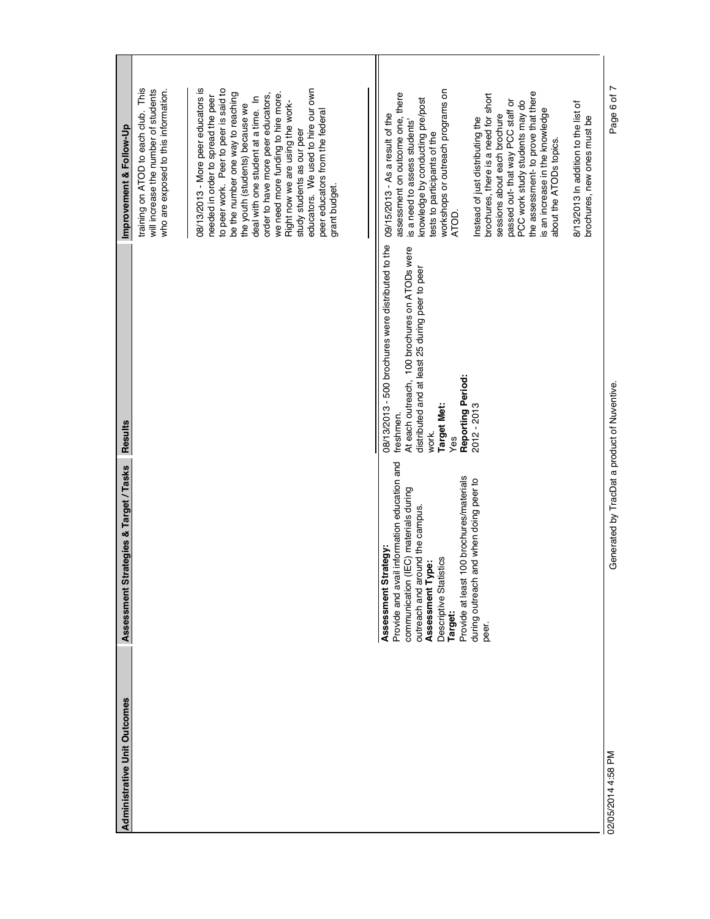| <b>Administrative Unit Outcomes</b> | trategies & Target / Tasks<br>Assessment St                                                                                                                                                                                                                                                                               | Results                                                                                                                                                                                                                                       | Improvement & Follow-Up                                                                                                                                                                                                                                                                                                                                                                                                                                                                                                                                                                             |
|-------------------------------------|---------------------------------------------------------------------------------------------------------------------------------------------------------------------------------------------------------------------------------------------------------------------------------------------------------------------------|-----------------------------------------------------------------------------------------------------------------------------------------------------------------------------------------------------------------------------------------------|-----------------------------------------------------------------------------------------------------------------------------------------------------------------------------------------------------------------------------------------------------------------------------------------------------------------------------------------------------------------------------------------------------------------------------------------------------------------------------------------------------------------------------------------------------------------------------------------------------|
|                                     |                                                                                                                                                                                                                                                                                                                           |                                                                                                                                                                                                                                               | 08/13/2013 - More peer educators is<br>This<br>to peer work. Peer to peer is said to<br>educators. We used to hire our own<br>will increase the number of students<br>who are exposed to this information.<br>we need more funding to hire more.<br>be the number one way to reaching<br>order to have more peer educators,<br>needed in order to spread the peer<br>deal with one student at a time. In<br>Right now we are using the work-<br>the youth (students) because we<br>training on ATOD to each club.<br>peer educators from the federal<br>study students as our peer<br>grant budget. |
|                                     | Provide and avail information education and<br>100 brochures/materials<br>and when doing peer to<br>(IEC) materials during<br>outreach and around the campus.<br>trategy:<br>istics<br>Assessment Type:<br>Descriptive Stati<br>Assessment St<br>during outreach<br>Provide at least<br>communication<br>Target:<br>peer. | 08/13/2013 - 500 brochures were distributed to the<br>At each outreach, 100 brochures on ATODs were<br>distributed and at least 25 during peer to peer<br>Reporting Period:<br><b>Target Met:</b><br>2012 - 2013<br>freshmen.<br>work.<br>Yes | workshops or outreach programs on<br>the assessment- to prove that there<br>assessment on outcome one, there<br>brochures, there is a need for short<br>knowledge by conducting pre/post<br>passed out-that way PCC staff or<br>PCC work study students may do<br>8/13/2013 In addition to the list of<br>is an increase in the knowledge<br>09/15/2013 - As a result of the<br>sessions about each brochure<br>brochures, new ones must be<br>Instead of just distributing the<br>is a need to assess students'<br>tests to participants of the<br>about the ATODs topics.<br>ATOD.                |
| 02/05/2014 4:58 PM                  | Generated by TracDat a product of Nuventive.                                                                                                                                                                                                                                                                              |                                                                                                                                                                                                                                               | Page 6 of 7                                                                                                                                                                                                                                                                                                                                                                                                                                                                                                                                                                                         |